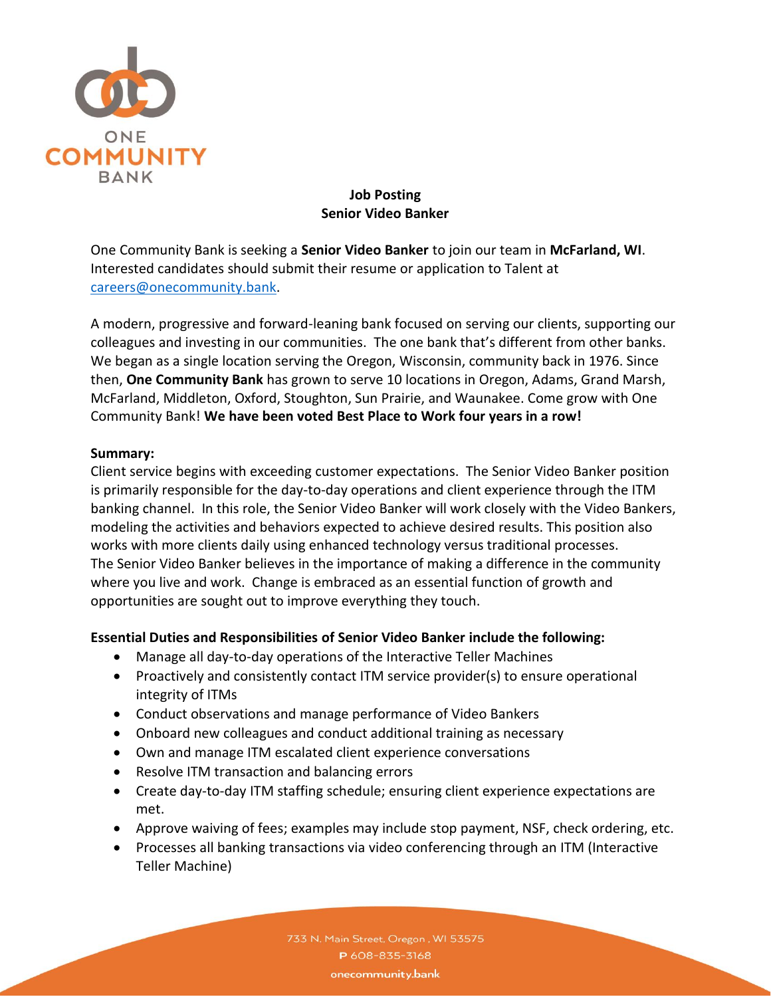

# **Job Posting Senior Video Banker**

One Community Bank is seeking a **Senior Video Banker** to join our team in **McFarland, WI**. Interested candidates should submit their resume or application to Talent at [careers@onecommunity.bank.](mailto:careers@onecommunity.bank)

A modern, progressive and forward-leaning bank focused on serving our clients, supporting our colleagues and investing in our communities. The one bank that's different from other banks. We began as a single location serving the Oregon, Wisconsin, community back in 1976. Since then, **One Community Bank** has grown to serve 10 locations in Oregon, Adams, Grand Marsh, McFarland, Middleton, Oxford, Stoughton, Sun Prairie, and Waunakee. Come grow with One Community Bank! **We have been voted Best Place to Work four years in a row!**

### **Summary:**

Client service begins with exceeding customer expectations. The Senior Video Banker position is primarily responsible for the day-to-day operations and client experience through the ITM banking channel. In this role, the Senior Video Banker will work closely with the Video Bankers, modeling the activities and behaviors expected to achieve desired results. This position also works with more clients daily using enhanced technology versus traditional processes. The Senior Video Banker believes in the importance of making a difference in the community where you live and work. Change is embraced as an essential function of growth and opportunities are sought out to improve everything they touch.

### **Essential Duties and Responsibilities of Senior Video Banker include the following:**

- Manage all day-to-day operations of the Interactive Teller Machines
- Proactively and consistently contact ITM service provider(s) to ensure operational integrity of ITMs
- Conduct observations and manage performance of Video Bankers
- Onboard new colleagues and conduct additional training as necessary
- Own and manage ITM escalated client experience conversations
- Resolve ITM transaction and balancing errors
- Create day-to-day ITM staffing schedule; ensuring client experience expectations are met.
- Approve waiving of fees; examples may include stop payment, NSF, check ordering, etc.
- Processes all banking transactions via video conferencing through an ITM (Interactive Teller Machine)

733 N. Main Street, Oregon, WI 53575 P 608-835-3168 onecommunity.bank